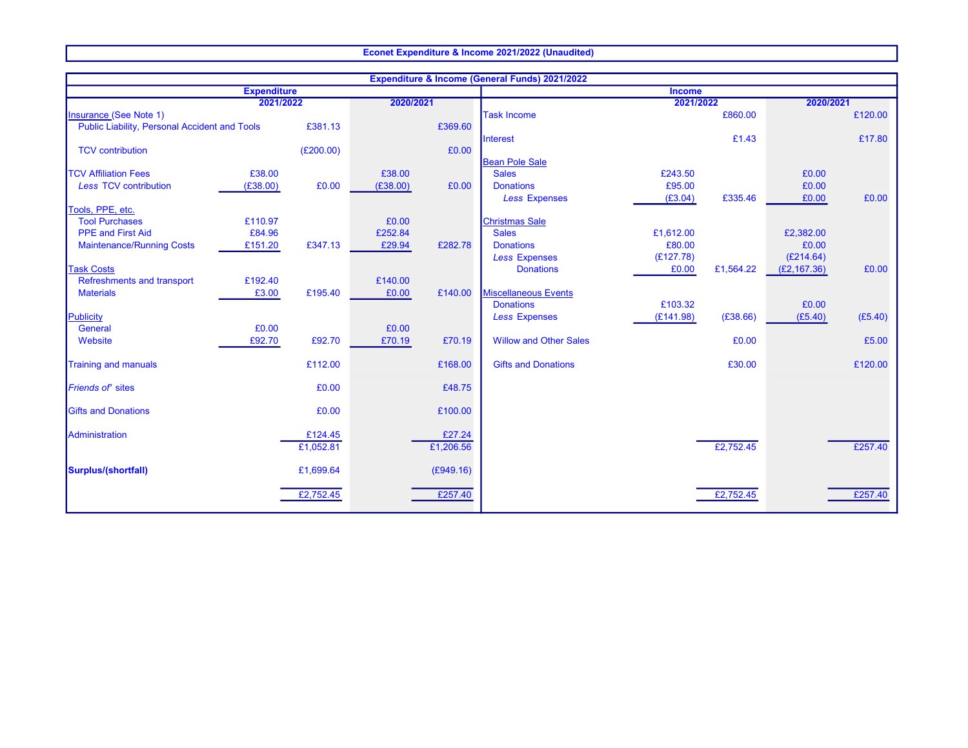## Econet Expenditure & Income 2021/2022 (Unaudited)

| <b>Expenditure &amp; Income (General Funds) 2021/2022</b> |          |           |           |           |                               |           |           |              |         |
|-----------------------------------------------------------|----------|-----------|-----------|-----------|-------------------------------|-----------|-----------|--------------|---------|
| <b>Expenditure</b>                                        |          |           |           |           | <b>Income</b>                 |           |           |              |         |
| 2021/2022                                                 |          |           | 2020/2021 |           | 2021/2022                     |           | 2020/2021 |              |         |
| <b>Insurance (See Note 1)</b>                             |          |           |           |           | <b>Task Income</b>            |           | £860.00   |              | £120.00 |
| <b>Public Liability, Personal Accident and Tools</b>      |          | £381.13   |           | £369.60   |                               |           |           |              |         |
|                                                           |          |           |           |           | Interest                      |           | £1.43     |              | £17.80  |
| <b>TCV</b> contribution                                   |          | (E200.00) |           | £0.00     | <b>Bean Pole Sale</b>         |           |           |              |         |
| <b>TCV Affiliation Fees</b>                               | £38.00   |           | £38.00    |           | <b>Sales</b>                  | £243.50   |           | £0.00        |         |
| <b>Less TCV contribution</b>                              | (E38.00) | £0.00     | (E38.00)  | £0.00     | <b>Donations</b>              | £95.00    |           | £0.00        |         |
|                                                           |          |           |           |           | <b>Less Expenses</b>          | (E3.04)   | £335.46   | £0.00        | £0.00   |
| Tools, PPE, etc.                                          |          |           |           |           |                               |           |           |              |         |
| <b>Tool Purchases</b>                                     | £110.97  |           | £0.00     |           | <b>Christmas Sale</b>         |           |           |              |         |
| <b>PPE and First Aid</b>                                  | £84.96   |           | £252.84   |           | <b>Sales</b>                  | £1,612.00 |           | £2,382.00    |         |
| <b>Maintenance/Running Costs</b>                          | £151.20  | £347.13   | £29.94    | £282.78   | <b>Donations</b>              | £80.00    |           | £0.00        |         |
|                                                           |          |           |           |           | <b>Less Expenses</b>          | (E127.78) |           | (E214.64)    |         |
| <b>Task Costs</b>                                         |          |           |           |           | <b>Donations</b>              | £0.00     | £1,564.22 | (E2, 167.36) | £0.00   |
| Refreshments and transport                                | £192.40  |           | £140.00   |           |                               |           |           |              |         |
| <b>Materials</b>                                          | £3.00    | £195.40   | £0.00     | £140.00   | <b>Miscellaneous Events</b>   |           |           |              |         |
|                                                           |          |           |           |           | <b>Donations</b>              | £103.32   |           | £0.00        |         |
| Publicity                                                 |          |           |           |           | <b>Less Expenses</b>          | (E141.98) | (E38.66)  | (E5.40)      | (E5.40) |
| General                                                   | £0.00    |           | £0.00     |           |                               |           |           |              |         |
| Website                                                   | £92.70   | £92.70    | £70.19    | £70.19    | <b>Willow and Other Sales</b> |           | £0.00     |              | £5.00   |
| <b>Training and manuals</b>                               |          | £112.00   |           | £168.00   | <b>Gifts and Donations</b>    |           | £30.00    |              | £120.00 |
|                                                           |          |           |           |           |                               |           |           |              |         |
| <b>Friends of' sites</b>                                  |          | £0.00     |           | £48.75    |                               |           |           |              |         |
| <b>Gifts and Donations</b>                                |          | £0.00     |           | £100.00   |                               |           |           |              |         |
|                                                           |          |           |           |           |                               |           |           |              |         |
| Administration                                            |          | £124.45   |           | £27.24    |                               |           |           |              |         |
|                                                           |          | £1,052.81 |           | £1,206.56 |                               |           | £2,752.45 |              | £257.40 |
| Surplus/(shortfall)                                       |          | £1,699.64 |           | (E949.16) |                               |           |           |              |         |
|                                                           |          |           |           |           |                               |           |           |              |         |
|                                                           |          | £2,752.45 |           | £257.40   |                               |           | £2,752.45 |              | £257.40 |
|                                                           |          |           |           |           |                               |           |           |              |         |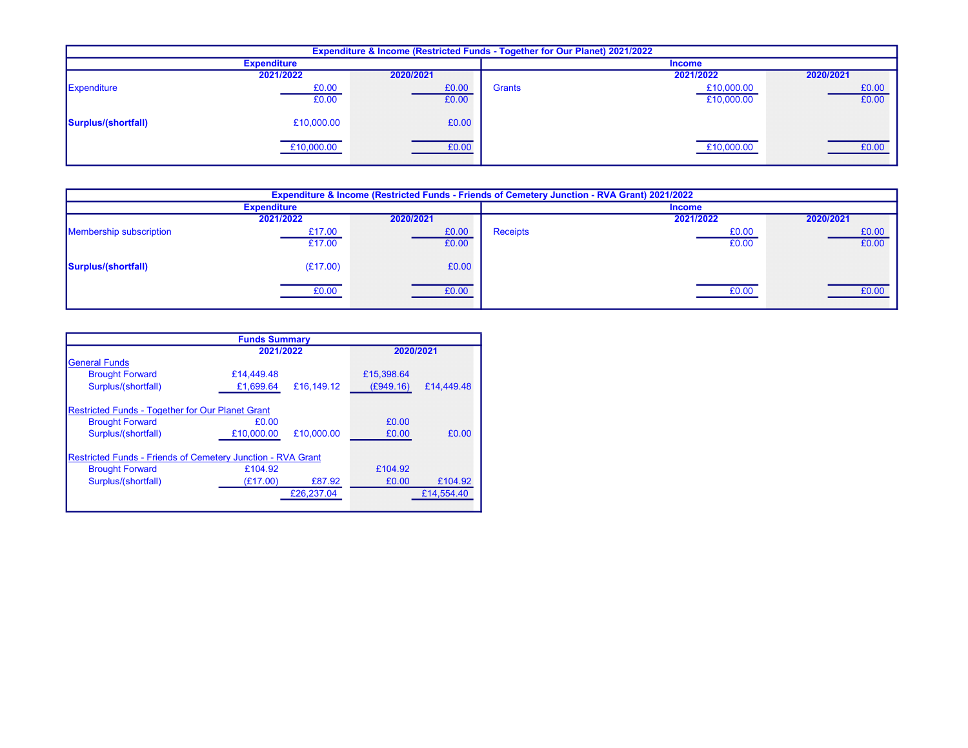| <b>Expenditure &amp; Income (Restricted Funds - Together for Our Planet) 2021/2022</b> |                    |           |               |               |           |  |  |
|----------------------------------------------------------------------------------------|--------------------|-----------|---------------|---------------|-----------|--|--|
|                                                                                        | <b>Expenditure</b> |           |               | <b>Income</b> |           |  |  |
|                                                                                        | 2021/2022          | 2020/2021 |               | 2021/2022     | 2020/2021 |  |  |
| Expenditure                                                                            | £0.00              | £0.00     | <b>Grants</b> | £10,000.00    | £0.00     |  |  |
|                                                                                        | £0.00              | £0.00     |               | £10,000.00    | £0.00     |  |  |
| Surplus/(shortfall)                                                                    | £10,000.00         | £0.00     |               |               |           |  |  |
|                                                                                        | £10,000.00         | £0.00     |               | £10,000.00    | £0.00     |  |  |

| <b>Expenditure &amp; Income (Restricted Funds - Friends of Cemetery Junction - RVA Grant) 2021/2022</b> |                    |           |                 |           |           |  |  |  |
|---------------------------------------------------------------------------------------------------------|--------------------|-----------|-----------------|-----------|-----------|--|--|--|
|                                                                                                         | <b>Expenditure</b> |           | <b>Income</b>   |           |           |  |  |  |
|                                                                                                         | 2021/2022          | 2020/2021 |                 | 2021/2022 | 2020/2021 |  |  |  |
| <b>Membership subscription</b>                                                                          | £17.00             | £0.00     | <b>Receipts</b> | £0.00     | £0.00     |  |  |  |
|                                                                                                         | £17.00             | £0.00     |                 | £0.00     | £0.00     |  |  |  |
| Surplus/(shortfall)                                                                                     | (E17.00)           | £0.00     |                 |           |           |  |  |  |
|                                                                                                         | £0.00              | £0.00     |                 | £0.00     | £0.00     |  |  |  |

| <b>Funds Summary</b>                                               |            |            |            |            |  |  |  |  |  |
|--------------------------------------------------------------------|------------|------------|------------|------------|--|--|--|--|--|
|                                                                    | 2020/2021  |            |            |            |  |  |  |  |  |
| <b>General Funds</b>                                               |            |            |            |            |  |  |  |  |  |
| <b>Brought Forward</b>                                             | £14.449.48 |            | £15,398.64 |            |  |  |  |  |  |
| Surplus/(shortfall)                                                | £1,699.64  | £16,149.12 | (E949.16)  | £14,449.48 |  |  |  |  |  |
| <b>Restricted Funds - Together for Our Planet Grant</b>            |            |            |            |            |  |  |  |  |  |
| <b>Brought Forward</b>                                             | £0.00      |            | £0.00      |            |  |  |  |  |  |
| Surplus/(shortfall)                                                | £10,000.00 | £10,000.00 | £0.00      | £0.00      |  |  |  |  |  |
| <b>Restricted Funds - Friends of Cemetery Junction - RVA Grant</b> |            |            |            |            |  |  |  |  |  |
| <b>Brought Forward</b>                                             | £104.92    |            | £104.92    |            |  |  |  |  |  |
| Surplus/(shortfall)                                                | (E17.00)   | £87.92     | £0.00      | £104.92    |  |  |  |  |  |
|                                                                    |            | £26,237.04 |            | £14,554.40 |  |  |  |  |  |
|                                                                    |            |            |            |            |  |  |  |  |  |